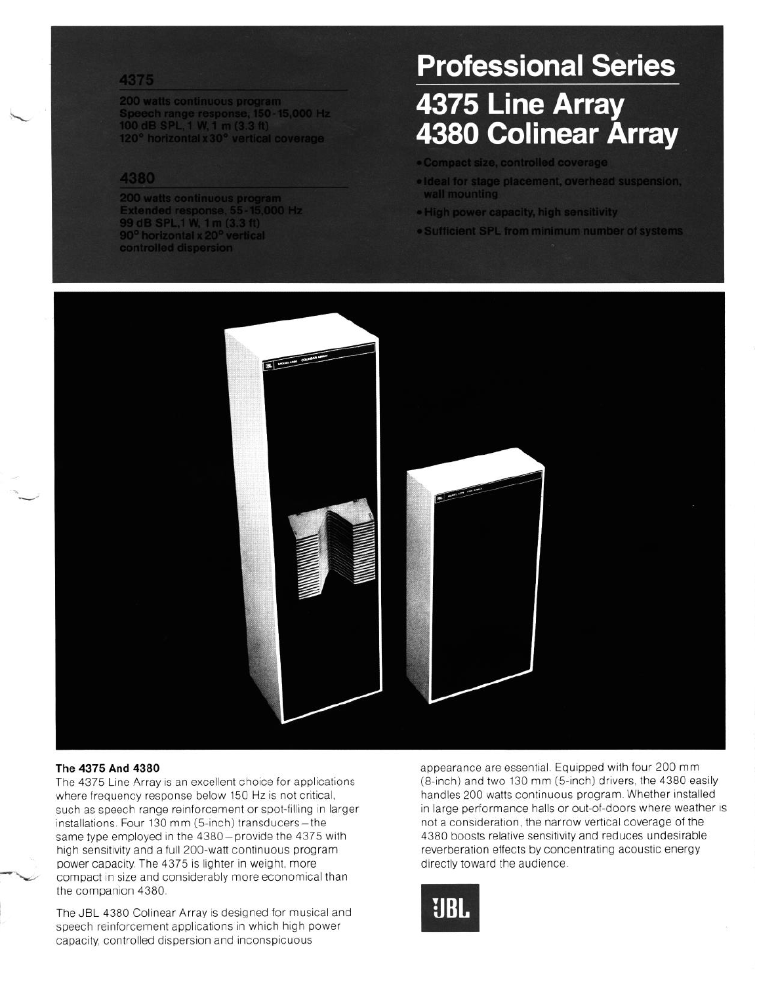#### 4375

200 watts continuous program Speech range response, 150-15,000 Hz<br>100 dB SPL, 1 W, 1 m (3.3 ft) 120° horizontal x 30° vertical coverage.

#### 4380

200 watts continuous program<br>Extended response, 55-15,000 Hz<br>99 dB SPL,1 W, 1 m (3.3 ft)<br>90<sup>°</sup> horizontal x 20<sup>°</sup> vertical controlled dispersion

## **Professional Series**

# 4375 Line Array 4380 Colinear Árray

- · Compact size, controlled coverage
- · Ideal for stage placement, overhead suspension, wall mounting
- . High power capacity, high sensitivity
- . Sufficient SPL from minimum number of systems



#### **The4375And4380**

 $\sim$ -'

> The 4375 Line Array is an excellent choice for applications where frequency response below 150 Hz is not critical, such as speech range reinforcement or spot-filling in larger installations. Four 130 mm (5-inch) transducers-the same type employed in the 4380-provide the 4375 with high sensitivity and a full 200-watt continuous program power capacity. The 4375 is lighter in weight, more compact in size and considerably more economical than the companion 4380.

The JBL 4380 Colinear Array is designed for musical and speech reinforcement applications in which high power capacity, controlled dispersion and inconspicuous

appearance are essential. Equipped with four 200 mm (8-inch) and two 130 mm (5-inch) drivers, the 4380 easily handles 200 watts continuous program. Whether installed in large performance halls or out-of-doors where weather is not a consideration, the narrow vertical coverage of the 4380 boosts relative sensitivity and reduces undesirable reverberation effects by concentrating acoustic energy directly toward the audience

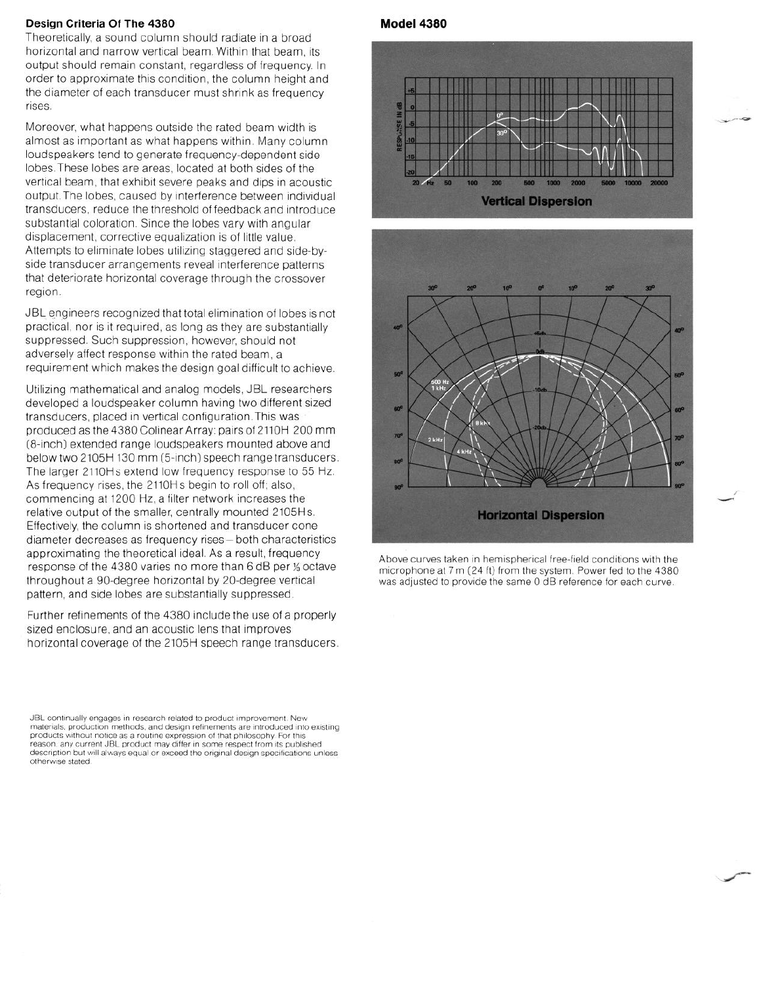#### **Design Criteria Of The 4380**

Theoretically, a sound column should radiate in a broad horizontal and narrow vertical beam. Within that beam, its output should remain constant, regardless of frequency In order to approximate this condition, the column height and the diameter of each transducer must shrink as frequency rises

Moreover, what happens outside the rated beam width is almost as important as what happens within. Many column loudspeakers tend to generate frequency-dependent side lobes These lobes are areas, located at both sides of the vertical beam, that exhibit severe peaks and dips in acoustic output The lobes, caused by interference between individual transducers, reduce the threshold of feedback and Introduce substantial coloration. Since the lobes vary with angular displacement, corrective equalization is of little value. Attempts to eliminate lobes utilizing staggered and side-byside transducer arrangements reveal interference patterns that deteriorate horizontal coverage through the crossover region

JBL engineers recognized that total elimination of lobes is not practical, nor is it required, as long as they are substantially suppressed. Such suppression, however, should not adversely affect response within the rated beam, a requirement which makes the design goal difficult to achieve.

Utilizing mathematical and analog models, JBL researchers developed a loudspeaker column having two different sized transducers, placed in vertical configuration. This was produced as the 4380 Colinear Array: pairs of 2110H 200 mm (8-inch) extended range loudspeakers mounted above and below two 2105H 130 mm (5-inch) speech range transducers. The larger 2110Hs extend low frequency response to 55 Hz. As frequency rises, the 2110Hs begin to roll off; also, commencing at 1200 Hz, a filter network increases the relative output of the smaller, centrally mounted 2105Hs Effectively, the column is shortened and transducer cone diameter decreases as frequency rises-both characteristics approximating the theoretical ideal As a result, frequency response of the 4380 varies no more than 6 dB per % octave throughout a go-degree horizontal by 20-degree vertical pattern, and side lobes are substantially suppressed.

Further refinements of the 4380 include the use of a properly sized enclosure, and an acoustic lens that improves horizontal coverage of the 2105H speech range transducers

JBL continually engages in research related to product improvement. New materials, production methods, and design refinements are introduced into existing products without notice as a routine expression of that philosophy. For this<br>reason, any current JBL product may differ in some respect from its publish description but will always equal or exceed the original design specifications unless otherwise stated

#### **Model 4380**